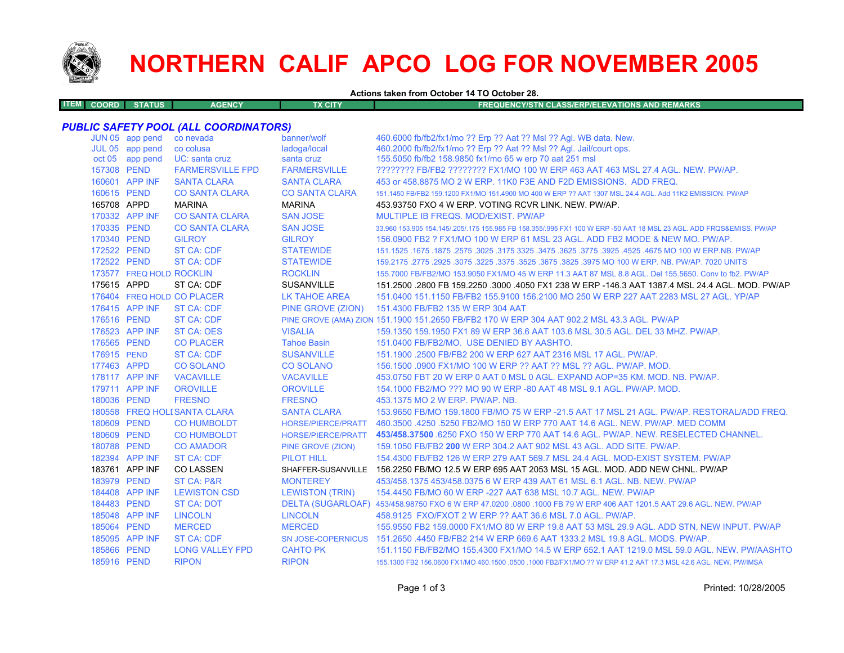

# **NORTHERN CALIF APCO LOG FOR NOVEMBER 2005**

**Actions taken from October 14 TO October 28.**

| <b>COORD</b> | rus'<br><b>TANK AND</b> | <b>ENCY</b><br>АСГ | <b>FX CITY</b> | <b>REQUENCY/STN CLASS/ERP/ELEVATIONS AND REMARKS</b> |
|--------------|-------------------------|--------------------|----------------|------------------------------------------------------|
|              |                         |                    |                |                                                      |

### *PUBLIC SAFETY POOL (ALL COORDINATORS)*

|             | JUN 05 app pend          | co nevada                    | banner/wolf               | 460.6000 fb/fb2/fx1/mo ?? Erp ?? Aat ?? Msl ?? Agl. WB data. New.                                                   |
|-------------|--------------------------|------------------------------|---------------------------|---------------------------------------------------------------------------------------------------------------------|
|             | JUL 05 app pend          | co colusa                    | ladoga/local              | 460.2000 fb/fb2/fx1/mo ?? Erp ?? Aat ?? Msl ?? Agl. Jail/court ops.                                                 |
|             | oct 05 app pend          | UC: santa cruz               | santa cruz                | 155.5050 fb/fb2 158.9850 fx1/mo 65 w erp 70 aat 251 msl                                                             |
| 157308 PEND |                          | <b>FARMERSVILLE FPD</b>      | <b>FARMERSVILLE</b>       | 22222222 FB/FB2 22222222 FX1/MO 100 W ERP 463 AAT 463 MSL 27.4 AGL, NEW, PW/AP,                                     |
|             | 160601 APP INF           | <b>SANTA CLARA</b>           | <b>SANTA CLARA</b>        | 453 or 458,8875 MO 2 W ERP, 11K0 F3E AND F2D EMISSIONS. ADD FREQ.                                                   |
| 160615 PEND |                          | <b>CO SANTA CLARA</b>        | <b>CO SANTA CLARA</b>     | 151.1450 FB/FB2 159.1200 FX1/MO 151.4900 MO 400 W ERP ?? AAT 1307 MSL 24.4 AGL, Add 11K2 EMISSION, PW/AP            |
| 165708 APPD |                          | <b>MARINA</b>                | <b>MARINA</b>             | 453,93750 FXO 4 W ERP, VOTING RCVR LINK, NEW, PW/AP,                                                                |
|             | 170332 APP INF           | <b>CO SANTA CLARA</b>        | <b>SAN JOSE</b>           | MULTIPLE IB FREQS, MOD/EXIST, PW/AP                                                                                 |
| 170335 PEND |                          | <b>CO SANTA CLARA</b>        | <b>SAN JOSE</b>           | 33.960 153.905 154.145/.205/.175 155.985 FB 158.355/.995 FX1 100 W ERP -50 AAT 18 MSL 23 AGL. ADD FRQS&EMISS. PW/AP |
| 170340 PEND |                          | <b>GILROY</b>                | <b>GILROY</b>             | 156.0900 FB2 ? FX1/MO 100 W ERP 61 MSL 23 AGL. ADD FB2 MODE & NEW MO. PW/AP.                                        |
| 172522 PEND |                          | <b>ST CA: CDF</b>            | <b>STATEWIDE</b>          | 1675.1675.1675 NO 100 W ERP.NB. PW/AP 325. 3475 325. 3475 325. 3475 3275 3275. 3025. 1675 1675. 1675 1675.1525      |
| 172522 PEND |                          | <b>ST CA: CDF</b>            | <b>STATEWIDE</b>          | 159.2175 .2775 .2925 .3075 .3225 .3375 .3525 .3675 .3825 .3825 .3975 MO 100 W ERP. NB. PW/AP. 7020 UNITS            |
|             | 173577 FREQ HOLD ROCKLIN |                              | <b>ROCKLIN</b>            | 155.7000 FB/FB2/MO 153.9050 FX1/MO 45 W ERP 11.3 AAT 87 MSL 8.8 AGL. Del 155.5650. Conv to fb2. PW/AP               |
| 175615 APPD |                          | ST CA: CDF                   | <b>SUSANVILLE</b>         | 151.2500 .2800 FB 159.2250 .3000 .4050 FX1 238 W ERP -146.3 AAT 1387.4 MSL 24.4 AGL. MOD. PW/AP                     |
|             |                          | 176404 FREQ HOLD CO PLACER   | <b>LK TAHOE AREA</b>      | 151.0400 151.1150 FB/FB2 155.9100 156.2100 MO 250 W ERP 227 AAT 2283 MSL 27 AGL, YP/AP                              |
|             | 176415 APP INF           | <b>ST CA: CDF</b>            | PINE GROVE (ZION)         | 151.4300 FB/FB2 135 W ERP 304 AAT                                                                                   |
| 176516 PEND |                          | <b>ST CA: CDF</b>            |                           | PINE GROVE (AMA) ZION 151.1900 151.2650 FB/FB2 170 W ERP 304 AAT 902.2 MSL 43.3 AGL. PW/AP                          |
|             | 176523 APP INF           | <b>ST CA: OES</b>            | <b>VISALIA</b>            | 159.1350 159.1950 FX1 89 W ERP 36.6 AAT 103.6 MSL 30.5 AGL, DEL 33 MHZ, PW/AP,                                      |
| 176565 PEND |                          | <b>CO PLACER</b>             | <b>Tahoe Basin</b>        | 151.0400 FB/FB2/MO. USE DENIED BY AASHTO.                                                                           |
| 176915 PEND |                          | <b>ST CA: CDF</b>            | <b>SUSANVILLE</b>         | 151.1900 .2500 FB/FB2 200 W ERP 627 AAT 2316 MSL 17 AGL, PW/AP.                                                     |
| 177463 APPD |                          | <b>CO SOLANO</b>             | <b>CO SOLANO</b>          | 156,1500,0900 FX1/MO 100 W ERP ?? AAT ?? MSL ?? AGL, PW/AP, MOD.                                                    |
|             | 178117 APP INF           | <b>VACAVILLE</b>             | <b>VACAVILLE</b>          | 453.0750 FBT 20 W ERP 0 AAT 0 MSL 0 AGL. EXPAND AOP=35 KM, MOD, NB, PW/AP,                                          |
|             | 179711 APP INF           | <b>OROVILLE</b>              | <b>OROVILLE</b>           | 154,1000 FB2/MO ??? MO 90 W ERP -80 AAT 48 MSL 9.1 AGL, PW/AP, MOD.                                                 |
| 180036 PEND |                          | <b>FRESNO</b>                | <b>FRESNO</b>             | 453.1375 MO 2 W ERP. PW/AP. NB.                                                                                     |
|             |                          | 180558 FREQ HOLI SANTA CLARA | <b>SANTA CLARA</b>        | 153.9650 FB/MO 159.1800 FB/MO 75 W ERP -21.5 AAT 17 MSL 21 AGL. PW/AP. RESTORAL/ADD FREQ.                           |
| 180609 PEND |                          | <b>CO HUMBOLDT</b>           | <b>HORSE/PIERCE/PRATT</b> | 460.3500 .4250 .5250 FB2/MO 150 W ERP 770 AAT 14.6 AGL, NEW, PW/AP, MED COMM                                        |
| 180609 PEND |                          | <b>CO HUMBOLDT</b>           |                           | HORSE/PIERCE/PRATT 453/458.37500 6250 FXO 150 W ERP 770 AAT 14.6 AGL. PW/AP. NEW. RESELECTED CHANNEL.               |
| 180788 PEND |                          | <b>CO AMADOR</b>             | PINE GROVE (ZION)         | 159.1050 FB/FB2 200 W ERP 304.2 AAT 902 MSL 43 AGL. ADD SITE. PW/AP.                                                |
|             | 182394 APP INF           | <b>ST CA: CDF</b>            | <b>PILOT HILL</b>         | 154.4300 FB/FB2 126 W ERP 279 AAT 569.7 MSL 24.4 AGL. MOD-EXIST SYSTEM. PW/AP                                       |
|             | 183761 APP INF           | <b>CO LASSEN</b>             |                           | SHAFFER-SUSANVILLE 156.2250 FB/MO 12.5 W ERP 695 AAT 2053 MSL 15 AGL. MOD. ADD NEW CHNL. PW/AP                      |
| 183979 PEND |                          | <b>ST CA: P&amp;R</b>        | <b>MONTEREY</b>           | 453/458.1375 453/458.0375 6 W ERP 439 AAT 61 MSL 6.1 AGL, NB, NEW, PW/AP                                            |
|             | 184408 APP INF           | <b>LEWISTON CSD</b>          | <b>LEWISTON (TRIN)</b>    | 154,4450 FB/MO 60 W ERP - 227 AAT 638 MSL 10.7 AGL, NEW, PW/AP                                                      |
| 184483 PEND |                          | <b>ST CA: DOT</b>            |                           | DELTA (SUGARLOAF) 453/458.98750 FXO 6 W ERP 47.0200 .0800 .1000 FB 79 W ERP 406 AAT 1201.5 AAT 29.6 AGL. NEW. PW/AP |
|             | 185048 APP INF           | <b>LINCOLN</b>               | <b>LINCOLN</b>            | 458.9125 FXO/FXOT 2 W ERP ?? AAT 36.6 MSL 7.0 AGL, PW/AP.                                                           |
| 185064 PEND |                          | <b>MERCED</b>                | <b>MERCED</b>             | 155,9550 FB2 159,0000 FX1/MO 80 W ERP 19.8 AAT 53 MSL 29.9 AGL, ADD STN, NEW INPUT, PW/AP                           |
|             | 185095 APP INF           | <b>ST CA: CDF</b>            |                           | SN JOSE-COPERNICUS 151.2650 .4450 FB/FB2 214 W ERP 669.6 AAT 1333.2 MSL 19.8 AGL, MODS, PW/AP.                      |
| 185866 PEND |                          | <b>LONG VALLEY FPD</b>       | <b>CAHTO PK</b>           | 151.1150 FB/FB2/MO 155.4300 FX1/MO 14.5 W ERP 652.1 AAT 1219.0 MSL 59.0 AGL. NEW. PW/AASHTO                         |
| 185916 PEND |                          | <b>RIPON</b>                 | <b>RIPON</b>              | 155.1300 FB2 156.0600 FX1/MO 460.1500 .0500 .1000 FB2/FX1/MO ?? W ERP 41.2 AAT 17.3 MSL 42.6 AGL, NEW, PW/IMSA      |
|             |                          |                              |                           |                                                                                                                     |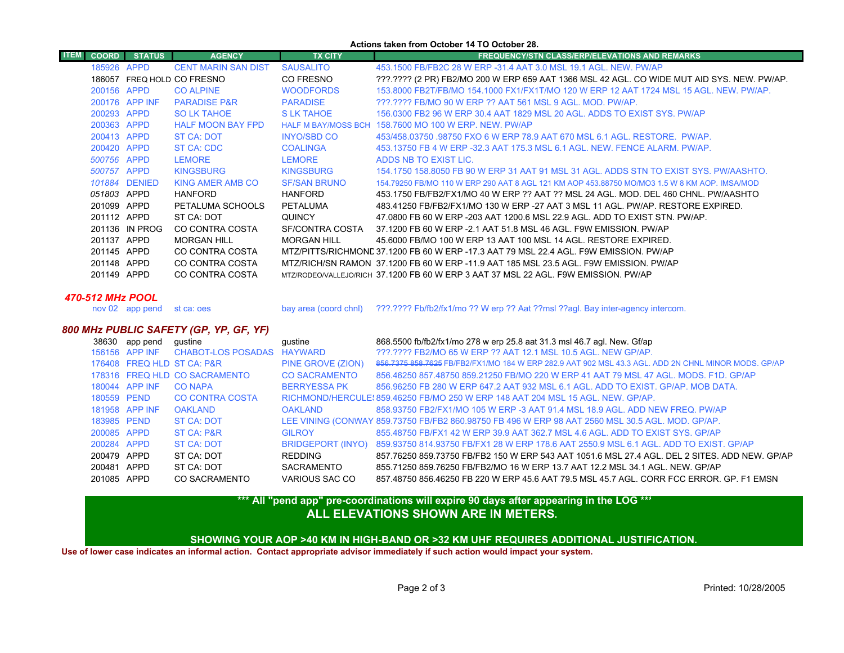#### **Actions taken from October 14 TO October 28.**

| <b>ITEM</b><br><b>COORD</b> | <b>STATUS</b>  | <b>AGENCY</b>              | <b>TX CITY</b>      | <b>FREQUENCY/STN CLASS/ERP/ELEVATIONS AND REMARKS</b>                                       |
|-----------------------------|----------------|----------------------------|---------------------|---------------------------------------------------------------------------------------------|
|                             | 185926 APPD    | <b>CENT MARIN SAN DIST</b> | <b>SAUSALITO</b>    | 453.1500 FB/FB2C 28 W ERP -31.4 AAT 3.0 MSL 19.1 AGL, NEW, PW/AP                            |
|                             |                | 186057 FREQ HOLD CO FRESNO | CO FRESNO           | ???.???? (2 PR) FB2/MO 200 W ERP 659 AAT 1366 MSL 42 AGL. CO WIDE MUT AID SYS. NEW. PW/AP.  |
|                             | 200156 APPD    | <b>CO ALPINE</b>           | <b>WOODFORDS</b>    | 153,8000 FB2T/FB/MO 154,1000 FX1/FX1T/MO 120 W ERP 12 AAT 1724 MSL 15 AGL, NEW, PW/AP,      |
|                             | 200176 APP INF | <b>PARADISE P&amp;R</b>    | <b>PARADISE</b>     | 222.2222 FB/MO 90 W ERP 22 AAT 561 MSL 9 AGL, MOD, PW/AP,                                   |
|                             | 200293 APPD    | <b>SO LK TAHOE</b>         | S LK TAHOE          | 156,0300 FB2 96 W ERP 30.4 AAT 1829 MSL 20 AGL, ADDS TO EXIST SYS, PW/AP                    |
|                             | 200363 APPD    | <b>HALF MOON BAY FPD</b>   |                     | HALF M BAY/MOSS BCH 158,7600 MO 100 W ERP. NEW. PW/AP                                       |
|                             | 200413 APPD    | <b>ST CA: DOT</b>          | <b>INYO/SBD CO</b>  | 453/458.03750 .98750 FXO 6 W ERP 78.9 AAT 670 MSL 6.1 AGL, RESTORE, PW/AP,                  |
|                             | 200420 APPD    | ST CA: CDC                 | <b>COALINGA</b>     | 453.13750 FB 4 W ERP -32.3 AAT 175.3 MSL 6.1 AGL. NEW. FENCE ALARM. PW/AP.                  |
|                             | 500756 APPD    | <b>LEMORE</b>              | <b>LEMORE</b>       | ADDS NB TO EXIST LIC.                                                                       |
|                             | 500757 APPD    | <b>KINGSBURG</b>           | <b>KINGSBURG</b>    | 154,1750 158,8050 FB 90 W ERP 31 AAT 91 MSL 31 AGL, ADDS STN TO EXIST SYS, PW/AASHTO,       |
|                             | 101884 DENIED  | KING AMER AMB CO           | <b>SF/SAN BRUNO</b> | 154 79250 FB/MO 110 W FRP 290 AAT 8 AGL 121 KM AOP 453 88750 MO/MO3 1.5 W 8 KM AOP IMSA/MOD |
|                             | 051803 APPD    | HANFORD                    | <b>HANFORD</b>      | 453.1750 FB/FB2/FX1/MO 40 W ERP ?? AAT ?? MSL 24 AGL. MOD. DEL 460 CHNL. PW/AASHTO          |
|                             | 201099 APPD    | PETALUMA SCHOOLS           | PETALUMA            | 483.41250 FB/FB2/FX1/MO 130 W ERP -27 AAT 3 MSL 11 AGL. PW/AP, RESTORE EXPIRED.             |
|                             | 201112 APPD    | ST CA: DOT                 | <b>QUINCY</b>       | 47,0800 FB 60 W ERP -203 AAT 1200.6 MSL 22.9 AGL. ADD TO EXIST STN. PW/AP.                  |
|                             | 201136 IN PROG | CO CONTRA COSTA            | SF/CONTRA COSTA     | 37.1200 FB 60 W ERP - 2.1 AAT 51.8 MSL 46 AGL. F9W EMISSION, PW/AP                          |
|                             | 201137 APPD    | <b>MORGAN HILL</b>         | <b>MORGAN HILL</b>  | 45,6000 FB/MO 100 W ERP 13 AAT 100 MSL 14 AGL. RESTORE EXPIRED.                             |
|                             | 201145 APPD    | CO CONTRA COSTA            |                     | MTZ/PITTS/RICHMOND 37.1200 FB 60 W ERP -17.3 AAT 79 MSL 22.4 AGL. F9W EMISSION, PW/AP       |
|                             | 201148 APPD    | CO CONTRA COSTA            |                     | MTZ/RICH/SN RAMON 37.1200 FB 60 W ERP -11.9 AAT 185 MSL 23.5 AGL. F9W EMISSION, PW/AP       |
|                             | 201149 APPD    | CO CONTRA COSTA            |                     | MTZ/RODEO/VALLEJO/RICH 37.1200 FB 60 W ERP 3 AAT 37 MSL 22 AGL. F9W EMISSION. PW/AP         |
|                             |                |                            |                     |                                                                                             |

#### *470-512 MHz POOL*

nov 02 app pend st ca: oes

bay area (coord chnl) ???.???? Fb/fb2/fx1/mo ?? W erp ?? Aat ??msl ??agl. Bay inter-agency intercom.

## *800 MHz PUBLIC SAFETY (GP, YP, GF, YF)*

| 38630 | app pend       | qustine                       | qustine              | 868.5500 fb/fb2/fx1/mo 278 w erp 25.8 aat 31.3 msl 46.7 agl. New. Gf/ap                             |
|-------|----------------|-------------------------------|----------------------|-----------------------------------------------------------------------------------------------------|
|       | 156156 APP INF | <b>CHABOT-LOS POSADAS</b>     | HAYWARD              | ???.???? FB2/MO 65 W ERP ?? AAT 12.1 MSL 10.5 AGL. NEW GP/AP.                                       |
|       |                | 176408 FREQ HLD ST CA: P&R    | PINE GROVE (ZION)    | 856,7375 858,7625 FB/FB2/FX1/MO 184 W ERP 282.9 AAT 902 MSL 43.3 AGL, ADD 2N CHNL MINOR MODS, GP/AP |
|       |                | 178316 FREQ HLD CO SACRAMENTO | <b>CO SACRAMENTO</b> | 856.46250 857.48750 859.21250 FB/MO 220 W ERP 41 AAT 79 MSL 47 AGL, MODS, F1D, GP/AP                |
|       | 180044 APP INF | CO NAPA                       | <b>BERRYESSA PK</b>  | 856,96250 FB 280 W ERP 647.2 AAT 932 MSL 6.1 AGL, ADD TO EXIST, GP/AP, MOB DATA,                    |
|       | 180559 PEND    | <b>CO CONTRA COSTA</b>        |                      | RICHMOND/HERCULE: 859.46250 FB/MO 250 W ERP 148 AAT 204 MSL 15 AGL. NEW. GP/AP.                     |
|       | 181958 APP INF | <b>OAKLAND</b>                | <b>OAKI AND</b>      | 858.93750 FB2/FX1/MO 105 W ERP -3 AAT 91.4 MSL 18.9 AGL, ADD NEW FREQ, PW/AP                        |
|       | 183985 PEND    | ST CA: DOT                    |                      | LEE VINING (CONWAY 859.73750 FB/FB2 860.98750 FB 496 W ERP 98 AAT 2560 MSL 30.5 AGL. MOD. GP/AP.    |
|       | 200085 APPD    | ST CA: P&R                    | <b>GILROY</b>        | 855.48750 FB/FX1 42 W ERP 39.9 AAT 362.7 MSL 4.6 AGL, ADD TO EXIST SYS, GP/AP                       |
|       | 200284 APPD    | ST CA: DOT                    | BRIDGEPORT (INYO)    | 859.93750 814.93750 FB/FX1 28 W ERP 178.6 AAT 2550.9 MSL 6.1 AGL, ADD TO EXIST, GP/AP               |
|       | 200479 APPD    | ST CA: DOT                    | REDDING              | 857.76250 859.73750 FB/FB2 150 W ERP 543 AAT 1051.6 MSL 27.4 AGL. DEL 2 SITES. ADD NEW, GP/AP       |
|       | 200481 APPD    | ST CA: DOT                    | SACRAMENTO           | 855.71250 859.76250 FB/FB2/MO 16 W ERP 13.7 AAT 12.2 MSL 34.1 AGL, NEW, GP/AP                       |
|       | 201085 APPD    | CO SACRAMENTO                 | VARIOUS SAC CO       | 857.48750 856.46250 FB 220 W ERP 45.6 AAT 79.5 MSL 45.7 AGL. CORR FCC ERROR. GP. F1 EMSN            |
|       |                |                               |                      |                                                                                                     |

# **ALL ELEVATIONS SHOWN ARE IN METERS.\*\*\* All "pend app" pre-coordinations will expire 90 days after appearing in the LOG \*\*\***

**SHOWING YOUR AOP >40 KM IN HIGH-BAND OR >32 KM UHF REQUIRES ADDITIONAL JUSTIFICATION.** 

**Use of lower case indicates an informal action. Contact appropriate advisor immediately if such action would impact your system.**